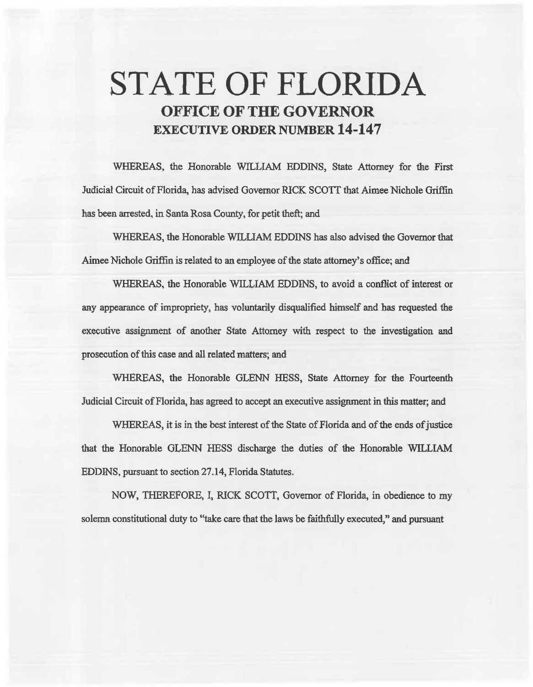# STATE OF FLORIDA OFFICE OF THE GOVERNOR **EXECUTIVE ORDER NUMBER 14-147**

WHEREAS. the Honorable WILLIAM EDDINS, State Attorney for the First Judicial Circuit of Florida, has advised Governor RlCK SCO'IT that Aimee Nichole Griffin has been arrested, in Santa Rosa County, for petit theft; and

WHEREAS, the Honorable WILLIAM EDDINS has also advised the Governor that Aimee Nichole Griffin is related to an employee of the state attorney's office; and

WHEREAS, the Honorable WILLIAM EDDINS, to avoid a conflict of interest or any appearance of impropriety, has voluntarily disqualified himself and has requested the executive assignment of another State Attorney with respect to the investigation and prosecution of this case and all related matters; and

WHEREAS, the Honorable GLENN HESS, State Attorney for the Fourteenth Judicial Circuit of Florida, has agreed to accept an executive assignment in this matter; and

WHEREAS, it is in the best interest of the State of Florida and of the ends of justice that the Honorable GLENN HESS discharge the duties of the Honorable WILLIAM EDDINS, pursuant to section 27.14, Florida Statutes.

NOW, THEREFORE, I, RICK SCOTI, Governor of Florida, in obedience to my solemn constitutional duty to "take care that the laws be faithfully executed," and pursuant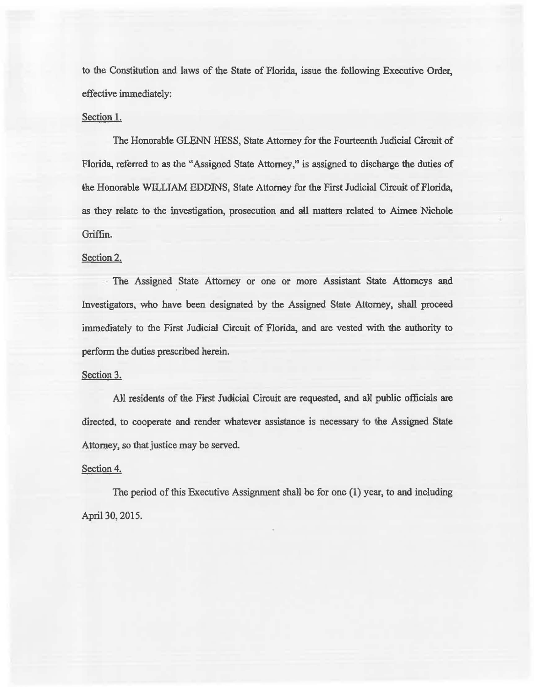to the Constitution and laws of 1he State of Florida, issue the following Executive Order, effective immediately:

## Section 1.

The Honorable GLENN HESS, State Attorney for the Fourteenth Judicial Circuit of Florida, referred to as the "Assigned State Attorney," is assigned to discharge the duties of the Honorable WILLIAM EDDINS, State Attorney for the First Judicial Circuit of Florida, as they relate to the investigation, prosecution and all matters related to Aimee Nichole Griffin.

### Section 2.

The Assigned State Attorney or one or more Assistant State Attomeys and Investigators, who have been designated by the Assigned State Attorney, shall proceed immediately to the First Judicial Circuit of Florida, and are vested with the authority to perform the duties prescribed herein.

#### Section 3.

All residents of the First Judicial Circuit are requested, and all public officials are directed, to cooperate and render whatever assistance is necessary to the Assigned State Attorney, so that justice may be served.

#### Section 4.

The period of this Executive Assignment shaN be for one (1) year, to and including April 30, 2015.